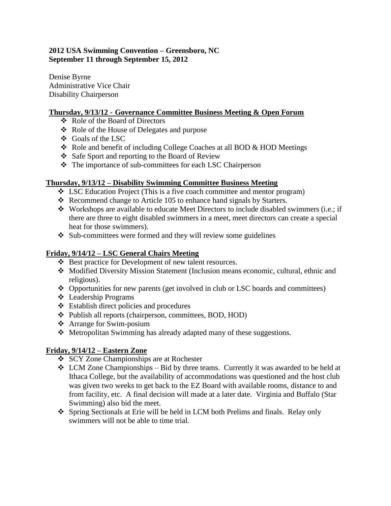### **2012 USA Swimming Convention – Greensboro, NC September 11 through September 15, 2012**

Denise Byrne Administrative Vice Chair Disability Chairperson

### **Thursday, 9/13/12 - Governance Committee Business Meeting & Open Forum**

- Role of the Board of Directors
- Role of the House of Delegates and purpose
- Goals of the LSC
- Role and benefit of including College Coaches at all BOD & HOD Meetings
- ❖ Safe Sport and reporting to the Board of Review
- The importance of sub-committees for each LSC Chairperson

## **Thursday, 9/13/12 – Disability Swimming Committee Business Meeting**

- LSC Education Project (This is a five coach committee and mentor program)
- $\triangleleft$  Recommend change to Article 105 to enhance hand signals by Starters.
- $\bullet$  Workshops are available to educate Meet Directors to include disabled swimmers (i.e.; if there are three to eight disabled swimmers in a meet, meet directors can create a special heat for those swimmers).
- $\div$  Sub-committees were formed and they will review some guidelines

# **Friday, 9/14/12 – LSC General Chairs Meeting**

- Best practice for Development of new talent resources.
- Modified Diversity Mission Statement (Inclusion means economic, cultural, ethnic and religious).
- Opportunities for new parents (get involved in club or LSC boards and committees)
- Leadership Programs
- Establish direct policies and procedures
- Publish all reports (chairperson, committees, BOD, HOD)
- Arrange for Swim-posium
- Metropolitan Swimming has already adapted many of these suggestions.

# **Friday, 9/14/12 – Eastern Zone**

- SCY Zone Championships are at Rochester
- $\div$  LCM Zone Championships Bid by three teams. Currently it was awarded to be held at Ithaca College, but the availability of accommodations was questioned and the host club was given two weeks to get back to the EZ Board with available rooms, distance to and from facility, etc. A final decision will made at a later date. Virginia and Buffalo (Star Swimming) also bid the meet.
- Spring Sectionals at Erie will be held in LCM both Prelims and finals. Relay only swimmers will not be able to time trial.